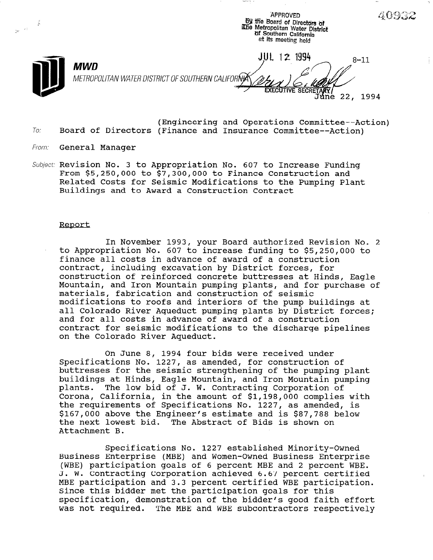$\frac{dy}{dx}$  and  $\frac{dy}{dx}$  are  $\frac{dy}{dx}$  and  $\frac{dy}{dx}$  are  $\frac{dy}{dx}$  and  $\frac{dy}{dx}$  are  $\frac{dy}{dx}$  and  $\frac{dy}{dx}$  are  $\frac{dy}{dx}$  and  $\frac{dy}{dx}$  are  $\frac{dy}{dx}$  and  $\frac{dy}{dx}$  are  $\frac{dy}{dx}$  and  $\frac{dy}{dx}$  are  $\frac{dy}{dx}$  and  $\frac{dy}{dx}$  a L' --- iCbe Metropolitan Water District بسيس السواء السواء السواء المستخدم المستخدم المستخدم السواء السواء الس<br>المستخدم السواء المستخدم المستخدم المستخدم المستخدم المستخدم المستخدم المستخدم المستخدم المستخدم المستخدم المس at its meeting held JUL 12 1994  $8 - 11$ MVVD METROPOLITAN WATER DISTRICT OF SOUTHERN CALIFORNA Júne 22, 1994

APPROVED

40932

**NAMA-18** - A

- To: (Engineering and Operations Committee--Action) Board of Directors (Finance and Insurance Committee--Action)
- From: General Manager
- Subject: Revision No. 3 to Appropriation No. 607 to Increase Fundin From \$5,250,000 to \$7,300,000 to Finance Construction and Related Costs for Seismic Modifications to the Pumping Plant Buildings and to Award a Construction Contract

#### Reoort

In November 1993, your Board authorized Revision No. 2 to Appropriation No. 607 to increase funding to \$5,250,000 to finance all costs in advance of award of a construction contract, including excavation by District forces, for construction of reinforced concrete buttresses at Hinds, Eagle Mountain, and Iron Mountain pumping plants, and for purchase of materials, fabrication and construction of seismic modifications to roofs and interiors of the pump buildings at all Colorado River Aqueduct pumping plants by District forces; and for all costs in advance of award of a construction contract for seismic modifications to the discharge pipelines on the Colorado River Aqueduct.

On June 8, 1994 four bids were received under Specifications No. 1227, as amended, for construction of buttresses for the seismic strengthening of the pumping plant buildings at Hinds, Eagle Mountain, and Iron Mountain pumping plants. The low bid of J. W. Contracting Corporation of Corona, California, in the amount of \$1,198,000 complies with the requirements of Specifications No. 1227, as amended, is the requirements or specifications no. 1227, as amended, is \$167,000 above the Engineer's estimate and is \$87,788 below<br>the next lowest bid. The Abstract of Bids is shown on Attachment B.

Specifications No. 1227 established Minority-Owned Business Enterprise (MBE) and Heman-Owned Business Enterprise Business Enterprise (MBE) and Women-Owned Business Enterprise (WBE) participation goals of 6 percent MBE and 2 percent WBE.<br>J. W. Contracting Corporation achieved 6.67 percent certified MBE participation and 3.3 percent certified WBE participation. NBE PARTICIPATION AND 3.3 PERCENT CERTIFIED WBE PARTI Since this bidder met the participation goals for this specification, demonstration of the bidder's good faith effort<br>was not required. The MBE and WBE subcontractors respectively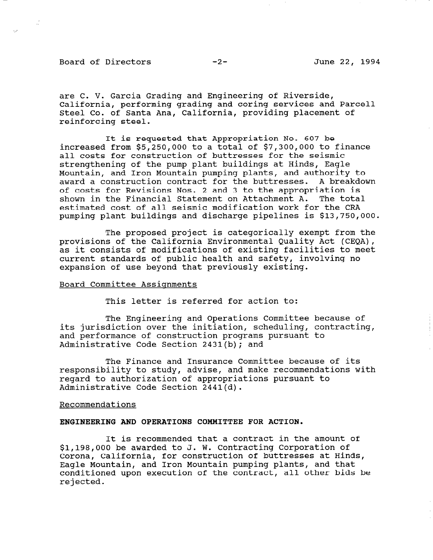### Board of Directors -2- June 22, 1994

 $\mathcal{L}^{\text{max}}_{\text{max}}$ 

are C. V. Garcia Grading and Engineering of Riverside, California, performing grading and coring services and Parcel1 Steel Co. of Santa Ana, California, providing placement of reinforcing steel.

It is requested that Appropriation No. 607 be increased from \$5,250,000 to a total of \$7,300,000 to finance all costs for construction of buttresses for the seismic strengthening of the pump plant buildings at Hinds, Eagle Mountain, and Iron Mountain pumping plants, and authority to award a construction contract for the buttresses. A breakdown of costs for Revisions Nos. 2 and 3 to the appropriation is shown in the Financial Statement on Attachment A. The total estimated cost of all seismic modification work for the CRA pumping plant buildings and discharge pipelines is \$13,750,000.

The proposed project is categorically exempt from the provisions of the California Environmental Quality Act (CEQA), as it consists of modifications of existing facilities to meet current standards of public health and safety, involving no expansion of use beyond that previously existing.

### Board Committee Assignments

This letter is referred for action to:

The Engineering and Operations Committee because of its jurisdiction over the initiation, scheduling, contracting, and performance of construction programs pursuant to Administrative Code Section 2431(b); and

The Finance and Insurance Committee because of its responsibility to study, advise, and make recommendations with regard to authorization of appropriations pursuant to Administrative Code Section 2441(d).

#### Recommendations

### ENGINEERING AND OPERATIONS COMMITTEE FOR ACTION.

It is recommended that a contract in the amount of \$1,198,000 be awarded to J. W. Contracting Corporation of Corona, California, for construction of buttresses at Hinds, Eagle Mountain, and Iron Mountain pumping plants, and that Eagle Mountain, and Iron Mountain pumping plants, and that conditioned upon execution of the contract, all other bids be rejected.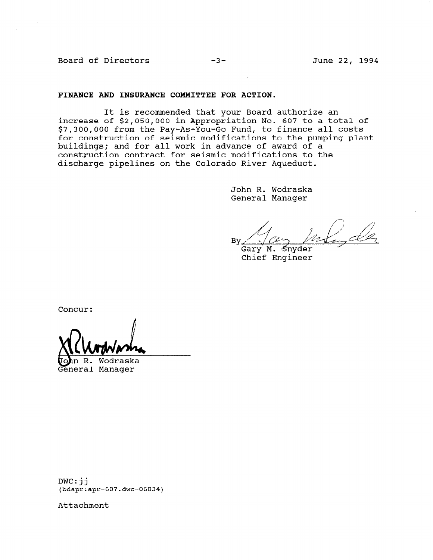Board of Directors -3- June 22, 1994

### FINANCE AND INSURANCE COMMITTEE FOR ACTION.

It is recommended that your Board authorize an increase of \$2,050,000 in Appropriation No. 607 to a total of \$7,300,000 from the Pay-As-You-Go Fund, to finance all costs for construction of seismic modifications to the pumping plant buildings; and for all work in advance of award of a construction contract for seismic modifications to the discharge pipelines on the Colorado River Aqueduct.

> John R. Wodraska General Manager

Bv

Gary M. Snyder Chief Engineer

Concur:

Wodraska  $R_{\star}$ eneral Manager

DWC:jj (bdapr:apr-607.dwc-06034)

Attachment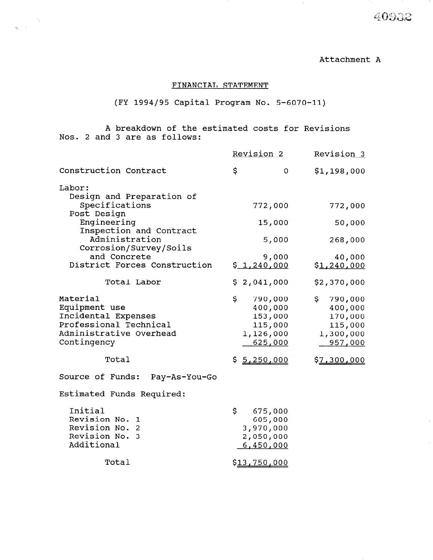40932

Attachment A

## FINANCIAL STATEMENT

# (FY 1994/95 Capital Program No. 5-6070-11)

A breakdown of the estimated costs for Revisions Nos. 2 and 3 are as follows:

 $\label{eq:2} \frac{1}{\sqrt{2}}\left(\frac{1}{\sqrt{2}}\right)^{1/2}\frac{1}{\sqrt{2}}\,.$ 

|                                           | Revision 2     | Revision 3         |
|-------------------------------------------|----------------|--------------------|
| Construction Contract                     | \$<br>0        | \$1,198,000        |
| Labor:                                    |                |                    |
| Design and Preparation of                 |                |                    |
| Specifications                            | 772,000        | 772,000            |
| Post Design                               |                |                    |
| Engineering                               | 15,000         | 50,000             |
| Inspection and Contract<br>Administration |                |                    |
| Corrosion/Survey/Soils                    | 5,000          | 268,000            |
| and Concrete                              | 9,000          | 40,000             |
| District Forces Construction              | \$1,240,000    | \$1,240,000        |
|                                           |                |                    |
| Total Labor                               | \$2,041,000    | \$2,370,000        |
| Material                                  | \$.<br>790,000 | \$.<br>790,000     |
| Equipment use                             | 400,000        | 400,000            |
| Incidental Expenses                       | 153,000        | 170,000            |
| Professional Technical                    | 115,000        | 115,000            |
| Administrative Overhead                   | 1,126,000      | 1,300,000          |
| Contingency                               | 625,000        | 957,000            |
| Total                                     | \$5,250,000    | <u>\$7,300,000</u> |
| Source of Funds:<br>Pay-As-You-Go         |                |                    |
| Estimated Funds Required:                 |                |                    |
| Initial                                   | \$.<br>675,000 |                    |
| Revision No. 1                            | 605,000        |                    |
| Revision No. 2                            | 3,970,000      |                    |
| Revision No.<br>3                         | 2,050,000      |                    |
| Additional                                | 6,450,000      |                    |
| Total                                     | \$13,750,000   |                    |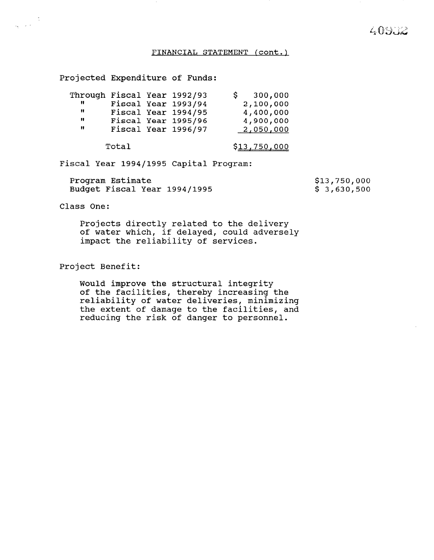# 409.72

### FINANCIAL STATEMENT (cont.)

Projected Expenditure of Funds:

|   |  | Through Fiscal Year 1992/93 | 300,000   |
|---|--|-----------------------------|-----------|
|   |  | Fiscal Year 1993/94         | 2,100,000 |
|   |  | Fiscal Year 1994/95         | 4,400,000 |
| " |  | Fiscal Year 1995/96         | 4,900,000 |
|   |  | Fiscal Year 1996/97         | 2,050,000 |
|   |  |                             |           |

Total \$13,750,000

Fiscal Year 1994/1995 Capital Program:

Program Estimate Budget Fiscal Year 1994/1995 \$13,750,000 \$ 3,630,500

Class One:

 $\frac{1}{\sqrt{2}}\left( \frac{1}{\sqrt{2}}\right) ^{2}$ 

Projects directly related to the delivery of water which, if delayed, could adversely impact the reliability of services.

Project Benefit:

Would improve the structural integr of the facilities, thereby increasing the reliability of water deliveries, minimizing the extent of damage to the facilities, and reducing the risk of danger to personnel.